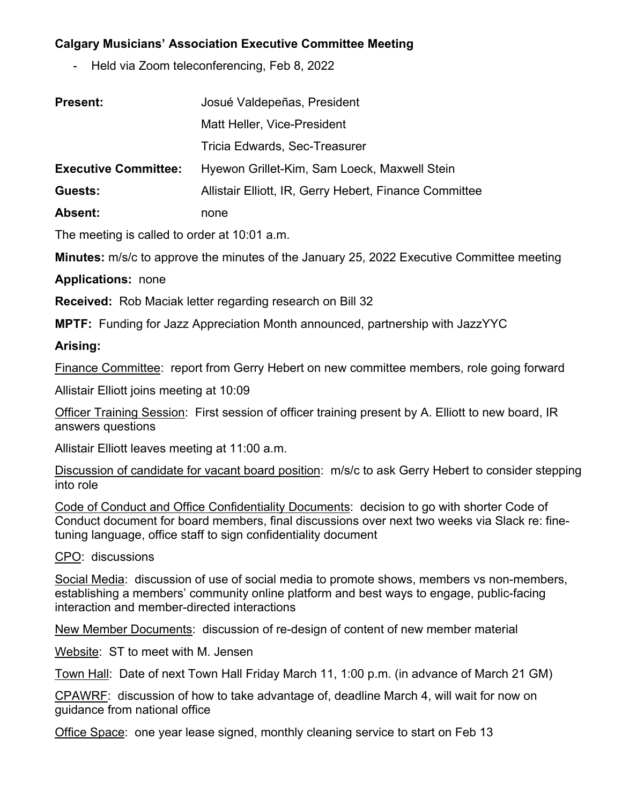## **Calgary Musicians' Association Executive Committee Meeting**

- Held via Zoom teleconferencing, Feb 8, 2022

| <b>Present:</b>             | Josué Valdepeñas, President                            |
|-----------------------------|--------------------------------------------------------|
|                             | Matt Heller, Vice-President                            |
|                             | Tricia Edwards, Sec-Treasurer                          |
| <b>Executive Committee:</b> | Hyewon Grillet-Kim, Sam Loeck, Maxwell Stein           |
| Guests:                     | Allistair Elliott, IR, Gerry Hebert, Finance Committee |
| Absent:                     | none                                                   |

The meeting is called to order at 10:01 a.m.

**Minutes:** m/s/c to approve the minutes of the January 25, 2022 Executive Committee meeting

**Applications:** none

**Received:** Rob Maciak letter regarding research on Bill 32

**MPTF:** Funding for Jazz Appreciation Month announced, partnership with JazzYYC

## **Arising:**

Finance Committee: report from Gerry Hebert on new committee members, role going forward

Allistair Elliott joins meeting at 10:09

Officer Training Session: First session of officer training present by A. Elliott to new board, IR answers questions

Allistair Elliott leaves meeting at 11:00 a.m.

Discussion of candidate for vacant board position: m/s/c to ask Gerry Hebert to consider stepping into role

Code of Conduct and Office Confidentiality Documents: decision to go with shorter Code of Conduct document for board members, final discussions over next two weeks via Slack re: finetuning language, office staff to sign confidentiality document

CPO: discussions

Social Media: discussion of use of social media to promote shows, members vs non-members, establishing a members' community online platform and best ways to engage, public-facing interaction and member-directed interactions

New Member Documents: discussion of re-design of content of new member material

Website: ST to meet with M. Jensen

Town Hall: Date of next Town Hall Friday March 11, 1:00 p.m. (in advance of March 21 GM)

CPAWRF: discussion of how to take advantage of, deadline March 4, will wait for now on guidance from national office

Office Space: one year lease signed, monthly cleaning service to start on Feb 13